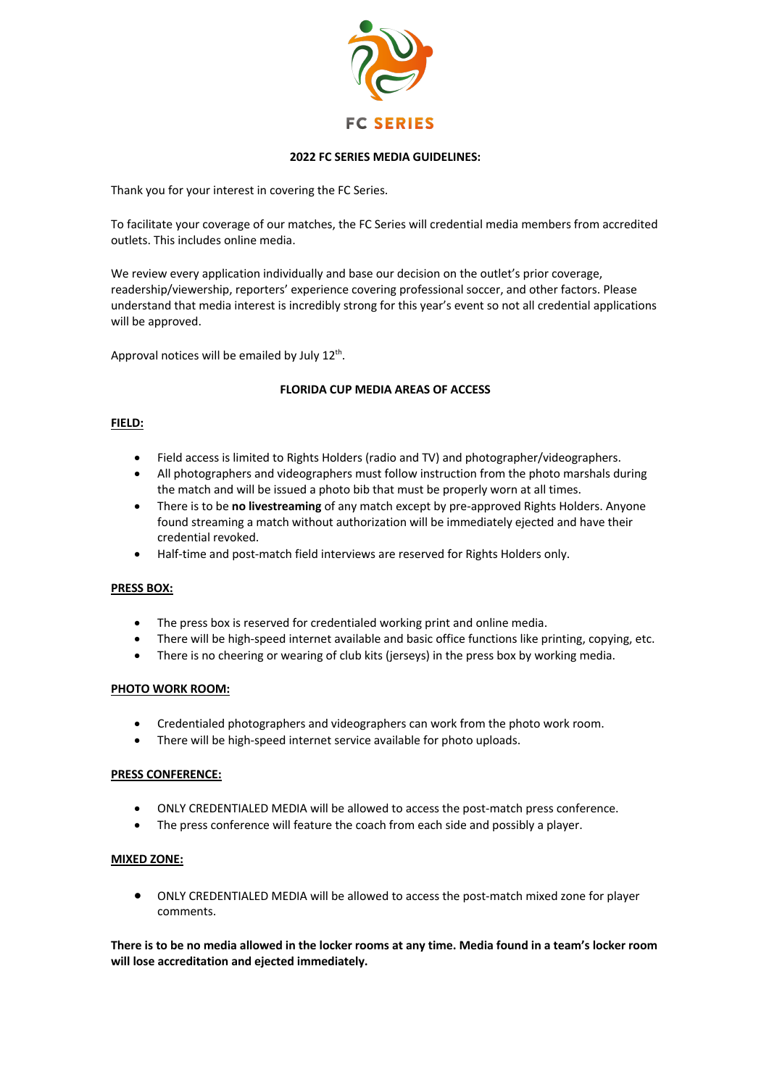

### **2022 FC SERIES MEDIA GUIDELINES:**

Thank you for your interest in covering the FC Series.

To facilitate your coverage of our matches, the FC Series will credential media members from accredited outlets. This includes online media.

We review every application individually and base our decision on the outlet's prior coverage, readership/viewership, reporters' experience covering professional soccer, and other factors. Please understand that media interest is incredibly strong for this year's event so not all credential applications will be approved.

Approval notices will be emailed by July  $12<sup>th</sup>$ .

# **FLORIDA CUP MEDIA AREAS OF ACCESS**

#### **FIELD:**

- Field access is limited to Rights Holders (radio and TV) and photographer/videographers.
- All photographers and videographers must follow instruction from the photo marshals during the match and will be issued a photo bib that must be properly worn at all times.
- There is to be **no livestreaming** of any match except by pre-approved Rights Holders. Anyone found streaming a match without authorization will be immediately ejected and have their credential revoked.
- Half-time and post-match field interviews are reserved for Rights Holders only.

# **PRESS BOX:**

- The press box is reserved for credentialed working print and online media.
- There will be high-speed internet available and basic office functions like printing, copying, etc.
- There is no cheering or wearing of club kits (jerseys) in the press box by working media.

# **PHOTO WORK ROOM:**

- Credentialed photographers and videographers can work from the photo work room.
- There will be high-speed internet service available for photo uploads.

#### **PRESS CONFERENCE:**

- ONLY CREDENTIALED MEDIA will be allowed to access the post-match press conference.
- The press conference will feature the coach from each side and possibly a player.

#### **MIXED ZONE:**

• ONLY CREDENTIALED MEDIA will be allowed to access the post-match mixed zone for player comments.

**There is to be no media allowed in the locker rooms at any time. Media found in a team's locker room will lose accreditation and ejected immediately.**